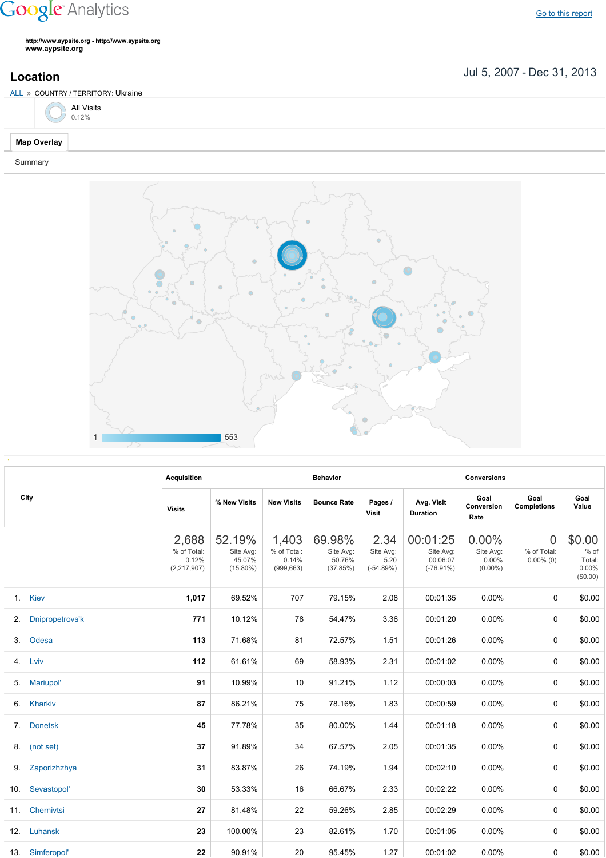## **Google** Analytics

Go to this [report](https://www.google.com/analytics/web/?utm_source=pdfReportLink#report/visitors-geo/a2184169w3912412p4016214/%3F_u.date00%3D20070705%26_u.date01%3D20131231%26geo-table.plotKeys%3D%5B%5D%26geo-table.rowStart%3D0%26geo-table.rowCount%3D1000%26_r.drilldown%3Danalytics.country%3AUA%26geo-segmentExplorer.segmentId%3Danalytics.city/)

**http://www.aypsite.org http://www.aypsite.org www.aypsite.org**

Jul 5, 2007 Dec 31, 2013 **Location**



## Summary



|                | City            | <b>Acquisition</b>                             |                                              |                                             | <b>Behavior</b>                           |                                          |                                                   | <b>Conversions</b>                           |                                               |                                                 |
|----------------|-----------------|------------------------------------------------|----------------------------------------------|---------------------------------------------|-------------------------------------------|------------------------------------------|---------------------------------------------------|----------------------------------------------|-----------------------------------------------|-------------------------------------------------|
|                |                 | <b>Visits</b>                                  | % New Visits                                 | <b>New Visits</b>                           | <b>Bounce Rate</b>                        | Pages /<br><b>Visit</b>                  | Avg. Visit<br><b>Duration</b>                     | Goal<br>Conversion<br>Rate                   | Goal<br><b>Completions</b>                    | Goal<br>Value                                   |
|                |                 | 2,688<br>% of Total:<br>0.12%<br>(2, 217, 907) | 52.19%<br>Site Avg:<br>45.07%<br>$(15.80\%)$ | 1,403<br>% of Total:<br>0.14%<br>(999, 663) | 69.98%<br>Site Avg:<br>50.76%<br>(37.85%) | 2.34<br>Site Avg:<br>5.20<br>$(-54.89%)$ | 00:01:25<br>Site Avg:<br>00:06:07<br>$(-76.91\%)$ | $0.00\%$<br>Site Avg:<br>0.00%<br>$(0.00\%)$ | $\overline{0}$<br>% of Total:<br>$0.00\%$ (0) | \$0.00<br>$%$ of<br>Total:<br>0.00%<br>(\$0.00) |
|                | 1. Kiev         | 1,017                                          | 69.52%                                       | 707                                         | 79.15%                                    | 2.08                                     | 00:01:35                                          | 0.00%                                        | $\Omega$                                      | \$0.00                                          |
| 2.             | Dnipropetrovs'k | 771                                            | 10.12%                                       | 78                                          | 54.47%                                    | 3.36                                     | 00:01:20                                          | 0.00%                                        | 0                                             | \$0.00                                          |
| 3 <sub>1</sub> | Odesa           | 113                                            | 71.68%                                       | 81                                          | 72.57%                                    | 1.51                                     | 00:01:26                                          | 0.00%                                        | $\Omega$                                      | \$0.00                                          |
|                | 4. Lviv         | 112                                            | 61.61%                                       | 69                                          | 58.93%                                    | 2.31                                     | 00:01:02                                          | 0.00%                                        | 0                                             | \$0.00                                          |
| 5.             | Mariupol'       | 91                                             | 10.99%                                       | 10                                          | 91.21%                                    | 1.12                                     | 00:00:03                                          | 0.00%                                        | 0                                             | \$0.00                                          |
|                | 6. Kharkiv      | 87                                             | 86.21%                                       | 75                                          | 78.16%                                    | 1.83                                     | 00:00:59                                          | 0.00%                                        | $\mathbf 0$                                   | \$0.00                                          |
|                | 7. Donetsk      | 45                                             | 77.78%                                       | 35                                          | 80.00%                                    | 1.44                                     | 00:01:18                                          | 0.00%                                        | $\Omega$                                      | \$0.00                                          |
|                | 8. (not set)    | 37                                             | 91.89%                                       | 34                                          | 67.57%                                    | 2.05                                     | 00:01:35                                          | 0.00%                                        | 0                                             | \$0.00                                          |
|                | 9. Zaporizhzhya | 31                                             | 83.87%                                       | 26                                          | 74.19%                                    | 1.94                                     | 00:02:10                                          | 0.00%                                        | $\Omega$                                      | \$0.00                                          |
| 10.            | Sevastopol'     | 30                                             | 53.33%                                       | 16                                          | 66.67%                                    | 2.33                                     | 00:02:22                                          | 0.00%                                        | $\Omega$                                      | \$0.00                                          |
|                | 11. Chernivtsi  | 27                                             | 81.48%                                       | 22                                          | 59.26%                                    | 2.85                                     | 00:02:29                                          | 0.00%                                        | $\Omega$                                      | \$0.00                                          |
|                | 12. Luhansk     | 23                                             | 100.00%                                      | 23                                          | 82.61%                                    | 1.70                                     | 00:01:05                                          | 0.00%                                        | $\Omega$                                      | \$0.00                                          |
|                | 13. Simferopol' | 22                                             | 90.91%                                       | 20                                          | 95.45%                                    | 1.27                                     | 00:01:02                                          | $0.00\%$                                     | 0                                             | \$0.00                                          |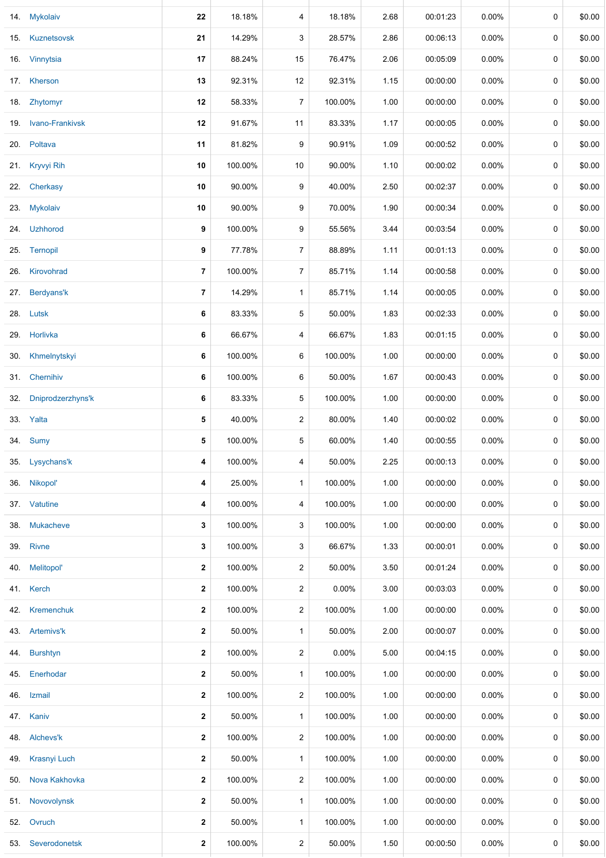|     | 14. Mykolaiv        | 22                      | 18.18%  | 4              | 18.18%   | 2.68 | 00:01:23 | $0.00\%$ | 0 | \$0.00 |
|-----|---------------------|-------------------------|---------|----------------|----------|------|----------|----------|---|--------|
|     | 15. Kuznetsovsk     | 21                      | 14.29%  | 3              | 28.57%   | 2.86 | 00:06:13 | 0.00%    | 0 | \$0.00 |
|     | 16. Vinnytsia       | 17                      | 88.24%  | 15             | 76.47%   | 2.06 | 00:05:09 | $0.00\%$ | 0 | \$0.00 |
|     | 17. Kherson         | 13                      | 92.31%  | 12             | 92.31%   | 1.15 | 00:00:00 | $0.00\%$ | 0 | \$0.00 |
|     | 18. Zhytomyr        | 12                      | 58.33%  | 7              | 100.00%  | 1.00 | 00:00:00 | 0.00%    | 0 | \$0.00 |
|     | 19. Ivano-Frankivsk | 12                      | 91.67%  | 11             | 83.33%   | 1.17 | 00:00:05 | $0.00\%$ | 0 | \$0.00 |
|     | 20. Poltava         | 11                      | 81.82%  | 9              | 90.91%   | 1.09 | 00:00:52 | 0.00%    | 0 | \$0.00 |
|     | 21. Kryvyi Rih      | 10                      | 100.00% | 10             | 90.00%   | 1.10 | 00:00:02 | $0.00\%$ | 0 | \$0.00 |
|     | 22. Cherkasy        | 10                      | 90.00%  | 9              | 40.00%   | 2.50 | 00:02:37 | 0.00%    | 0 | \$0.00 |
|     | 23. Mykolaiv        | 10                      | 90.00%  | 9              | 70.00%   | 1.90 | 00:00:34 | $0.00\%$ | 0 | \$0.00 |
| 24. | <b>Uzhhorod</b>     | 9                       | 100.00% | 9              | 55.56%   | 3.44 | 00:03:54 | 0.00%    | 0 | \$0.00 |
|     | 25. Ternopil        | 9                       | 77.78%  | $\overline{7}$ | 88.89%   | 1.11 | 00:01:13 | 0.00%    | 0 | \$0.00 |
| 26. | Kirovohrad          | $\overline{\mathbf{r}}$ | 100.00% | 7              | 85.71%   | 1.14 | 00:00:58 | $0.00\%$ | 0 | \$0.00 |
| 27. | Berdyans'k          | $\overline{7}$          | 14.29%  | $\mathbf{1}$   | 85.71%   | 1.14 | 00:00:05 | $0.00\%$ | 0 | \$0.00 |
|     | 28. Lutsk           | 6                       | 83.33%  | 5              | 50.00%   | 1.83 | 00:02:33 | 0.00%    | 0 | \$0.00 |
|     | 29. Horlivka        | 6                       | 66.67%  | 4              | 66.67%   | 1.83 | 00:01:15 | $0.00\%$ | 0 | \$0.00 |
| 30. | Khmelnytskyi        | 6                       | 100.00% | 6              | 100.00%  | 1.00 | 00:00:00 | 0.00%    | 0 | \$0.00 |
| 31. | Chernihiv           | 6                       | 100.00% | 6              | 50.00%   | 1.67 | 00:00:43 | $0.00\%$ | 0 | \$0.00 |
| 32. | Dniprodzerzhyns'k   | 6                       | 83.33%  | 5              | 100.00%  | 1.00 | 00:00:00 | $0.00\%$ | 0 | \$0.00 |
|     | 33. Yalta           | 5                       | 40.00%  | $\overline{c}$ | 80.00%   | 1.40 | 00:00:02 | $0.00\%$ | 0 | \$0.00 |
|     | 34. Sumy            | 5                       | 100.00% | 5              | 60.00%   | 1.40 | 00:00:55 | $0.00\%$ | 0 | \$0.00 |
|     | 35. Lysychans'k     | 4                       | 100.00% | 4              | 50.00%   | 2.25 | 00:00:13 | $0.00\%$ | 0 | \$0.00 |
| 36. | Nikopol'            | 4                       | 25.00%  | $\mathbf{1}$   | 100.00%  | 1.00 | 00:00:00 | $0.00\%$ | 0 | \$0.00 |
|     | 37. Vatutine        | 4                       | 100.00% | 4              | 100.00%  | 1.00 | 00:00:00 | $0.00\%$ | 0 | \$0.00 |
| 38. | Mukacheve           | 3                       | 100.00% | 3              | 100.00%  | 1.00 | 00:00:00 | $0.00\%$ | 0 | \$0.00 |
| 39. | <b>Rivne</b>        | 3                       | 100.00% | 3              | 66.67%   | 1.33 | 00:00:01 | 0.00%    | 0 | \$0.00 |
| 40. | Melitopol'          | $\mathbf{2}$            | 100.00% | $\overline{2}$ | 50.00%   | 3.50 | 00:01:24 | $0.00\%$ | 0 | \$0.00 |
|     | 41. Kerch           | $\boldsymbol{2}$        | 100.00% | $\overline{c}$ | $0.00\%$ | 3.00 | 00:03:03 | $0.00\%$ | 0 | \$0.00 |
| 42. | Kremenchuk          | $\boldsymbol{2}$        | 100.00% | $\overline{c}$ | 100.00%  | 1.00 | 00:00:00 | 0.00%    | 0 | \$0.00 |
|     | 43. Artemivs'k      | $\boldsymbol{2}$        | 50.00%  | $\mathbf{1}$   | 50.00%   | 2.00 | 00:00:07 | 0.00%    | 0 | \$0.00 |
| 44. | <b>Burshtyn</b>     | $\boldsymbol{2}$        | 100.00% | $\overline{2}$ | 0.00%    | 5.00 | 00:04:15 | $0.00\%$ | 0 | \$0.00 |
| 45. | Enerhodar           | $\boldsymbol{2}$        | 50.00%  | $\mathbf{1}$   | 100.00%  | 1.00 | 00:00:00 | $0.00\%$ | 0 | \$0.00 |
| 46. | Izmail              | $\boldsymbol{2}$        | 100.00% | $\overline{c}$ | 100.00%  | 1.00 | 00:00:00 | $0.00\%$ | 0 | \$0.00 |
|     | 47. Kaniv           | $\boldsymbol{2}$        | 50.00%  | $\mathbf{1}$   | 100.00%  | 1.00 | 00:00:00 | $0.00\%$ | 0 | \$0.00 |
| 48. | Alchevs'k           | 2                       | 100.00% | $\overline{c}$ | 100.00%  | 1.00 | 00:00:00 | $0.00\%$ | 0 | \$0.00 |
| 49. | Krasnyi Luch        | $\boldsymbol{2}$        | 50.00%  | $\mathbf{1}$   | 100.00%  | 1.00 | 00:00:00 | $0.00\%$ | 0 | \$0.00 |
| 50. | Nova Kakhovka       | $\boldsymbol{2}$        | 100.00% | 2              | 100.00%  | 1.00 | 00:00:00 | $0.00\%$ | 0 | \$0.00 |
| 51. | Novovolynsk         | $\mathbf{2}$            | 50.00%  | $\mathbf{1}$   | 100.00%  | 1.00 | 00:00:00 | $0.00\%$ | 0 | \$0.00 |
|     | 52. Ovruch          | $\mathbf{2}$            | 50.00%  | $\mathbf{1}$   | 100.00%  | 1.00 | 00:00:00 | $0.00\%$ | 0 | \$0.00 |
|     | 53. Severodonetsk   | $\mathbf 2$             | 100.00% | $\overline{c}$ | 50.00%   | 1.50 | 00:00:50 | 0.00%    | 0 | \$0.00 |